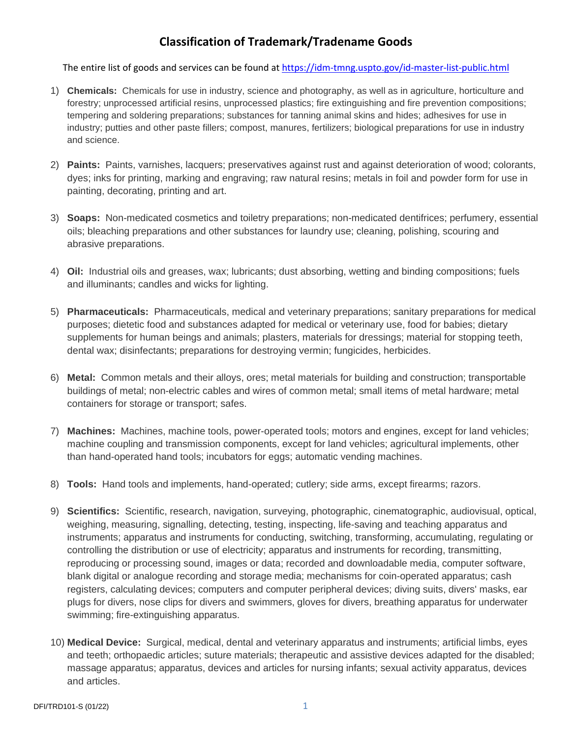## **Classification of Trademark/Tradename Goods**

The entire list of goods and services can be found at<https://idm-tmng.uspto.gov/id-master-list-public.html>

- 1) **Chemicals:** Chemicals for use in industry, science and photography, as well as in agriculture, horticulture and forestry; unprocessed artificial resins, unprocessed plastics; fire extinguishing and fire prevention compositions; tempering and soldering preparations; substances for tanning animal skins and hides; adhesives for use in industry; putties and other paste fillers; compost, manures, fertilizers; biological preparations for use in industry and science.
- 2) **Paints:** Paints, varnishes, lacquers; preservatives against rust and against deterioration of wood; colorants, dyes; inks for printing, marking and engraving; raw natural resins; metals in foil and powder form for use in painting, decorating, printing and art.
- 3) **Soaps:** Non-medicated cosmetics and toiletry preparations; non-medicated dentifrices; perfumery, essential oils; bleaching preparations and other substances for laundry use; cleaning, polishing, scouring and abrasive preparations.
- 4) **Oil:** Industrial oils and greases, wax; lubricants; dust absorbing, wetting and binding compositions; fuels and illuminants; candles and wicks for lighting.
- 5) **Pharmaceuticals:** Pharmaceuticals, medical and veterinary preparations; sanitary preparations for medical purposes; dietetic food and substances adapted for medical or veterinary use, food for babies; dietary supplements for human beings and animals; plasters, materials for dressings; material for stopping teeth, dental wax; disinfectants; preparations for destroying vermin; fungicides, herbicides.
- 6) **Metal:** Common metals and their alloys, ores; metal materials for building and construction; transportable buildings of metal; non-electric cables and wires of common metal; small items of metal hardware; metal containers for storage or transport; safes.
- 7) **Machines:** Machines, machine tools, power-operated tools; motors and engines, except for land vehicles; machine coupling and transmission components, except for land vehicles; agricultural implements, other than hand-operated hand tools; incubators for eggs; automatic vending machines.
- 8) **Tools:** Hand tools and implements, hand-operated; cutlery; side arms, except firearms; razors.
- 9) **Scientifics:** Scientific, research, navigation, surveying, photographic, cinematographic, audiovisual, optical, weighing, measuring, signalling, detecting, testing, inspecting, life-saving and teaching apparatus and instruments; apparatus and instruments for conducting, switching, transforming, accumulating, regulating or controlling the distribution or use of electricity; apparatus and instruments for recording, transmitting, reproducing or processing sound, images or data; recorded and downloadable media, computer software, blank digital or analogue recording and storage media; mechanisms for coin-operated apparatus; cash registers, calculating devices; computers and computer peripheral devices; diving suits, divers' masks, ear plugs for divers, nose clips for divers and swimmers, gloves for divers, breathing apparatus for underwater swimming; fire-extinguishing apparatus.
- 10) **Medical Device:** Surgical, medical, dental and veterinary apparatus and instruments; artificial limbs, eyes and teeth; orthopaedic articles; suture materials; therapeutic and assistive devices adapted for the disabled; massage apparatus; apparatus, devices and articles for nursing infants; sexual activity apparatus, devices and articles.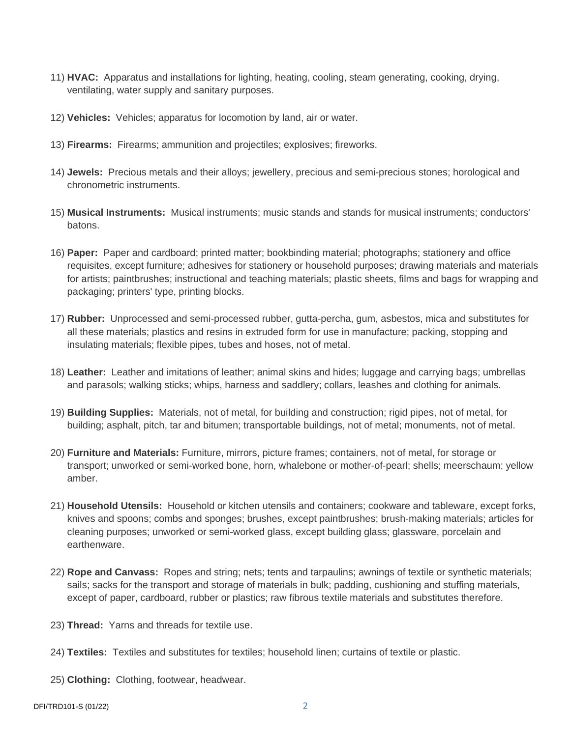- 11) **HVAC:** Apparatus and installations for lighting, heating, cooling, steam generating, cooking, drying, ventilating, water supply and sanitary purposes.
- 12) **Vehicles:** Vehicles; apparatus for locomotion by land, air or water.
- 13) **Firearms:** Firearms; ammunition and projectiles; explosives; fireworks.
- 14) **Jewels:** Precious metals and their alloys; jewellery, precious and semi-precious stones; horological and chronometric instruments.
- 15) **Musical Instruments:** Musical instruments; music stands and stands for musical instruments; conductors' batons.
- 16) **Paper:** Paper and cardboard; printed matter; bookbinding material; photographs; stationery and office requisites, except furniture; adhesives for stationery or household purposes; drawing materials and materials for artists; paintbrushes; instructional and teaching materials; plastic sheets, films and bags for wrapping and packaging; printers' type, printing blocks.
- 17) **Rubber:** Unprocessed and semi-processed rubber, gutta-percha, gum, asbestos, mica and substitutes for all these materials; plastics and resins in extruded form for use in manufacture; packing, stopping and insulating materials; flexible pipes, tubes and hoses, not of metal.
- 18) **Leather:** Leather and imitations of leather; animal skins and hides; luggage and carrying bags; umbrellas and parasols; walking sticks; whips, harness and saddlery; collars, leashes and clothing for animals.
- 19) **Building Supplies:** Materials, not of metal, for building and construction; rigid pipes, not of metal, for building; asphalt, pitch, tar and bitumen; transportable buildings, not of metal; monuments, not of metal.
- 20) **Furniture and Materials:** Furniture, mirrors, picture frames; containers, not of metal, for storage or transport; unworked or semi-worked bone, horn, whalebone or mother-of-pearl; shells; meerschaum; yellow amber.
- 21) **Household Utensils:** Household or kitchen utensils and containers; cookware and tableware, except forks, knives and spoons; combs and sponges; brushes, except paintbrushes; brush-making materials; articles for cleaning purposes; unworked or semi-worked glass, except building glass; glassware, porcelain and earthenware.
- 22) **Rope and Canvass:** Ropes and string; nets; tents and tarpaulins; awnings of textile or synthetic materials; sails; sacks for the transport and storage of materials in bulk; padding, cushioning and stuffing materials, except of paper, cardboard, rubber or plastics; raw fibrous textile materials and substitutes therefore.
- 23) **Thread:** Yarns and threads for textile use.
- 24) **Textiles:** Textiles and substitutes for textiles; household linen; curtains of textile or plastic.
- 25) **Clothing:** Clothing, footwear, headwear.